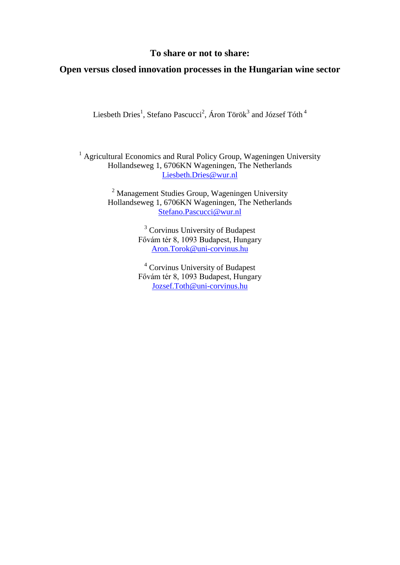## **To share or not to share:**

# **Open versus closed innovation processes in the Hungarian wine sector**

Liesbeth Dries $^1$ , Stefano Pascucci $^2$ , Áron Török $^3$  and József Tóth  $^4$ 

<sup>1</sup> Agricultural Economics and Rural Policy Group, Wageningen University Hollandseweg 1, 6706KN Wageningen, The Netherlands [Liesbeth.Dries@wur.nl](mailto:Liesbeth.Dries@wur.nl)

> <sup>2</sup> Management Studies Group, Wageningen University Hollandseweg 1, 6706KN Wageningen, The Netherlands [Stefano.Pascucci@wur.nl](mailto:Stefano.Pascucci@wur.nl)

> > <sup>3</sup> Corvinus University of Budapest Fővám tér 8, 1093 Budapest, Hungary [Aron.Torok@uni-corvinus.hu](mailto:Aron.Torok@uni-corvinus.hu)

> > <sup>4</sup> Corvinus University of Budapest Fővám tér 8, 1093 Budapest, Hungary [Jozsef.Toth@uni-corvinus.hu](mailto:Jozsef.Toth@uni-corvinus.hu)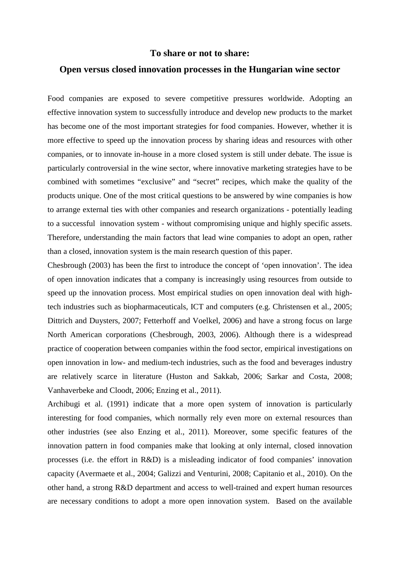### **To share or not to share:**

### **Open versus closed innovation processes in the Hungarian wine sector**

Food companies are exposed to severe competitive pressures worldwide. Adopting an effective innovation system to successfully introduce and develop new products to the market has become one of the most important strategies for food companies. However, whether it is more effective to speed up the innovation process by sharing ideas and resources with other companies, or to innovate in-house in a more closed system is still under debate. The issue is particularly controversial in the wine sector, where innovative marketing strategies have to be combined with sometimes "exclusive" and "secret" recipes, which make the quality of the products unique. One of the most critical questions to be answered by wine companies is how to arrange external ties with other companies and research organizations - potentially leading to a successful innovation system - without compromising unique and highly specific assets. Therefore, understanding the main factors that lead wine companies to adopt an open, rather than a closed, innovation system is the main research question of this paper.

Chesbrough (2003) has been the first to introduce the concept of 'open innovation'. The idea of open innovation indicates that a company is increasingly using resources from outside to speed up the innovation process. Most empirical studies on open innovation deal with hightech industries such as biopharmaceuticals, ICT and computers (e.g. Christensen et al., 2005; Dittrich and Duysters, 2007; Fetterhoff and Voelkel, 2006) and have a strong focus on large North American corporations (Chesbrough, 2003, 2006). Although there is a widespread practice of cooperation between companies within the food sector, empirical investigations on open innovation in low- and medium-tech industries, such as the food and beverages industry are relatively scarce in literature (Huston and Sakkab, 2006; Sarkar and Costa, 2008; Vanhaverbeke and Cloodt, 2006; Enzing et al., 2011).

Archibugi et al. (1991) indicate that a more open system of innovation is particularly interesting for food companies, which normally rely even more on external resources than other industries (see also Enzing et al., 2011). Moreover, some specific features of the innovation pattern in food companies make that looking at only internal, closed innovation processes (i.e. the effort in R&D) is a misleading indicator of food companies' innovation capacity (Avermaete et al., 2004; Galizzi and Venturini, 2008; Capitanio et al., 2010). On the other hand, a strong R&D department and access to well-trained and expert human resources are necessary conditions to adopt a more open innovation system. Based on the available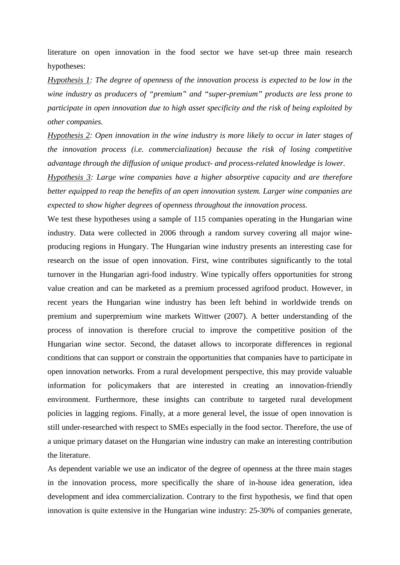literature on open innovation in the food sector we have set-up three main research hypotheses:

*Hypothesis 1: The degree of openness of the innovation process is expected to be low in the wine industry as producers of "premium" and "super-premium" products are less prone to participate in open innovation due to high asset specificity and the risk of being exploited by other companies.*

*Hypothesis 2: Open innovation in the wine industry is more likely to occur in later stages of the innovation process (i.e. commercialization) because the risk of losing competitive advantage through the diffusion of unique product- and process-related knowledge is lower.* 

*Hypothesis 3: Large wine companies have a higher absorptive capacity and are therefore better equipped to reap the benefits of an open innovation system. Larger wine companies are expected to show higher degrees of openness throughout the innovation process.* 

We test these hypotheses using a sample of 115 companies operating in the Hungarian wine industry. Data were collected in 2006 through a random survey covering all major wineproducing regions in Hungary. The Hungarian wine industry presents an interesting case for research on the issue of open innovation. First, wine contributes significantly to the total turnover in the Hungarian agri-food industry. Wine typically offers opportunities for strong value creation and can be marketed as a premium processed agrifood product. However, in recent years the Hungarian wine industry has been left behind in worldwide trends on premium and superpremium wine markets Wittwer (2007). A better understanding of the process of innovation is therefore crucial to improve the competitive position of the Hungarian wine sector. Second, the dataset allows to incorporate differences in regional conditions that can support or constrain the opportunities that companies have to participate in open innovation networks. From a rural development perspective, this may provide valuable information for policymakers that are interested in creating an innovation-friendly environment. Furthermore, these insights can contribute to targeted rural development policies in lagging regions. Finally, at a more general level, the issue of open innovation is still under-researched with respect to SMEs especially in the food sector. Therefore, the use of a unique primary dataset on the Hungarian wine industry can make an interesting contribution the literature.

As dependent variable we use an indicator of the degree of openness at the three main stages in the innovation process, more specifically the share of in-house idea generation, idea development and idea commercialization. Contrary to the first hypothesis, we find that open innovation is quite extensive in the Hungarian wine industry: 25-30% of companies generate,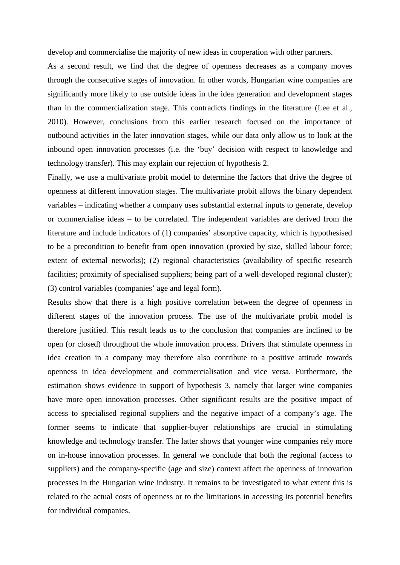develop and commercialise the majority of new ideas in cooperation with other partners.

As a second result, we find that the degree of openness decreases as a company moves through the consecutive stages of innovation. In other words, Hungarian wine companies are significantly more likely to use outside ideas in the idea generation and development stages than in the commercialization stage. This contradicts findings in the literature (Lee et al., 2010). However, conclusions from this earlier research focused on the importance of outbound activities in the later innovation stages, while our data only allow us to look at the inbound open innovation processes (i.e. the 'buy' decision with respect to knowledge and technology transfer). This may explain our rejection of hypothesis 2.

Finally, we use a multivariate probit model to determine the factors that drive the degree of openness at different innovation stages. The multivariate probit allows the binary dependent variables – indicating whether a company uses substantial external inputs to generate, develop or commercialise ideas – to be correlated. The independent variables are derived from the literature and include indicators of (1) companies' absorptive capacity, which is hypothesised to be a precondition to benefit from open innovation (proxied by size, skilled labour force; extent of external networks); (2) regional characteristics (availability of specific research facilities; proximity of specialised suppliers; being part of a well-developed regional cluster); (3) control variables (companies' age and legal form).

Results show that there is a high positive correlation between the degree of openness in different stages of the innovation process. The use of the multivariate probit model is therefore justified. This result leads us to the conclusion that companies are inclined to be open (or closed) throughout the whole innovation process. Drivers that stimulate openness in idea creation in a company may therefore also contribute to a positive attitude towards openness in idea development and commercialisation and vice versa. Furthermore, the estimation shows evidence in support of hypothesis 3, namely that larger wine companies have more open innovation processes. Other significant results are the positive impact of access to specialised regional suppliers and the negative impact of a company's age. The former seems to indicate that supplier-buyer relationships are crucial in stimulating knowledge and technology transfer. The latter shows that younger wine companies rely more on in-house innovation processes. In general we conclude that both the regional (access to suppliers) and the company-specific (age and size) context affect the openness of innovation processes in the Hungarian wine industry. It remains to be investigated to what extent this is related to the actual costs of openness or to the limitations in accessing its potential benefits for individual companies.